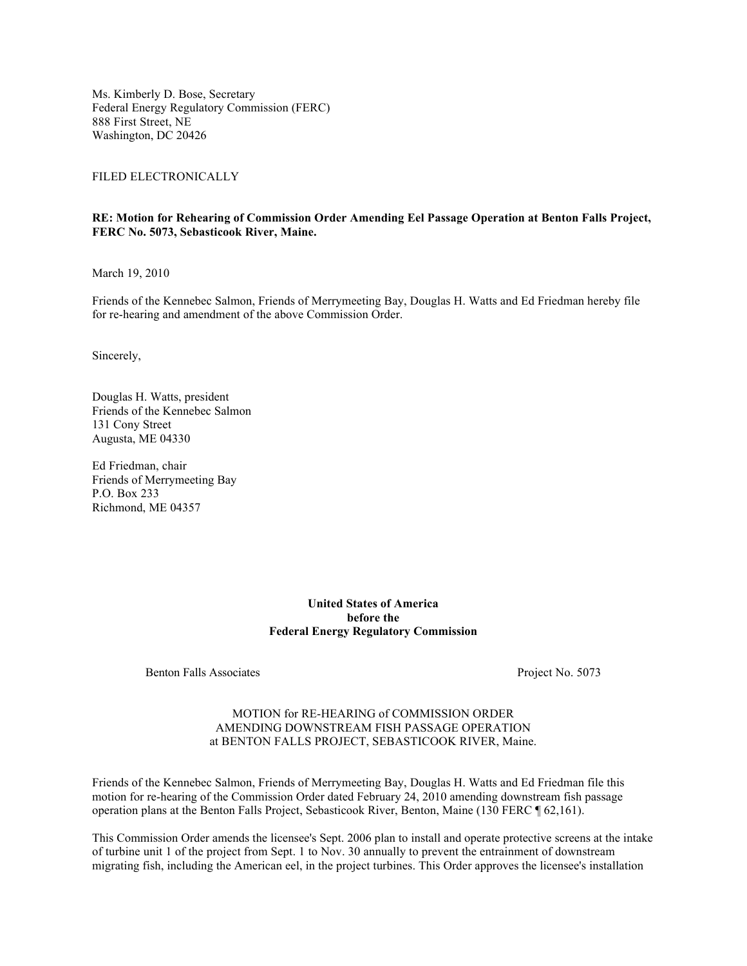Ms. Kimberly D. Bose, Secretary Federal Energy Regulatory Commission (FERC) 888 First Street, NE Washington, DC 20426

FILED ELECTRONICALLY

#### **RE: Motion for Rehearing of Commission Order Amending Eel Passage Operation at Benton Falls Project, FERC No. 5073, Sebasticook River, Maine.**

March 19, 2010

Friends of the Kennebec Salmon, Friends of Merrymeeting Bay, Douglas H. Watts and Ed Friedman hereby file for re-hearing and amendment of the above Commission Order.

Sincerely,

Douglas H. Watts, president Friends of the Kennebec Salmon 131 Cony Street Augusta, ME 04330

Ed Friedman, chair Friends of Merrymeeting Bay P.O. Box 233 Richmond, ME 04357

#### **United States of America before the Federal Energy Regulatory Commission**

Benton Falls Associates Project No. 5073

#### MOTION for RE-HEARING of COMMISSION ORDER AMENDING DOWNSTREAM FISH PASSAGE OPERATION at BENTON FALLS PROJECT, SEBASTICOOK RIVER, Maine.

Friends of the Kennebec Salmon, Friends of Merrymeeting Bay, Douglas H. Watts and Ed Friedman file this motion for re-hearing of the Commission Order dated February 24, 2010 amending downstream fish passage operation plans at the Benton Falls Project, Sebasticook River, Benton, Maine (130 FERC ¶ 62,161).

This Commission Order amends the licensee's Sept. 2006 plan to install and operate protective screens at the intake of turbine unit 1 of the project from Sept. 1 to Nov. 30 annually to prevent the entrainment of downstream migrating fish, including the American eel, in the project turbines. This Order approves the licensee's installation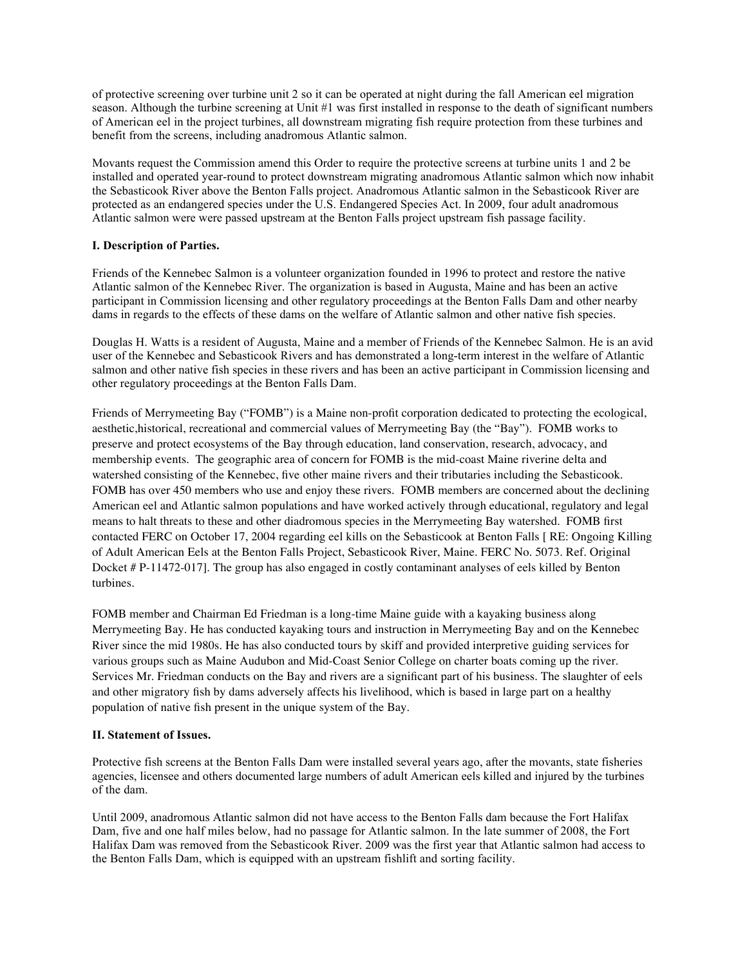of protective screening over turbine unit 2 so it can be operated at night during the fall American eel migration season. Although the turbine screening at Unit #1 was first installed in response to the death of significant numbers of American eel in the project turbines, all downstream migrating fish require protection from these turbines and benefit from the screens, including anadromous Atlantic salmon.

Movants request the Commission amend this Order to require the protective screens at turbine units 1 and 2 be installed and operated year-round to protect downstream migrating anadromous Atlantic salmon which now inhabit the Sebasticook River above the Benton Falls project. Anadromous Atlantic salmon in the Sebasticook River are protected as an endangered species under the U.S. Endangered Species Act. In 2009, four adult anadromous Atlantic salmon were were passed upstream at the Benton Falls project upstream fish passage facility.

# **I. Description of Parties.**

Friends of the Kennebec Salmon is a volunteer organization founded in 1996 to protect and restore the native Atlantic salmon of the Kennebec River. The organization is based in Augusta, Maine and has been an active participant in Commission licensing and other regulatory proceedings at the Benton Falls Dam and other nearby dams in regards to the effects of these dams on the welfare of Atlantic salmon and other native fish species.

Douglas H. Watts is a resident of Augusta, Maine and a member of Friends of the Kennebec Salmon. He is an avid user of the Kennebec and Sebasticook Rivers and has demonstrated a long-term interest in the welfare of Atlantic salmon and other native fish species in these rivers and has been an active participant in Commission licensing and other regulatory proceedings at the Benton Falls Dam.

Friends of Merrymeeting Bay ("FOMB") is a Maine non-profit corporation dedicated to protecting the ecological, aesthetic,historical, recreational and commercial values of Merrymeeting Bay (the "Bay"). FOMB works to preserve and protect ecosystems of the Bay through education, land conservation, research, advocacy, and membership events. The geographic area of concern for FOMB is the mid-coast Maine riverine delta and watershed consisting of the Kennebec, five other maine rivers and their tributaries including the Sebasticook. FOMB has over 450 members who use and enjoy these rivers. FOMB members are concerned about the declining American eel and Atlantic salmon populations and have worked actively through educational, regulatory and legal means to halt threats to these and other diadromous species in the Merrymeeting Bay watershed. FOMB first contacted FERC on October 17, 2004 regarding eel kills on the Sebasticook at Benton Falls [ RE: Ongoing Killing of Adult American Eels at the Benton Falls Project, Sebasticook River, Maine. FERC No. 5073. Ref. Original Docket # P-11472-017]. The group has also engaged in costly contaminant analyses of eels killed by Benton turbines.

FOMB member and Chairman Ed Friedman is a long-time Maine guide with a kayaking business along Merrymeeting Bay. He has conducted kayaking tours and instruction in Merrymeeting Bay and on the Kennebec River since the mid 1980s. He has also conducted tours by skiff and provided interpretive guiding services for various groups such as Maine Audubon and Mid-Coast Senior College on charter boats coming up the river. Services Mr. Friedman conducts on the Bay and rivers are a significant part of his business. The slaughter of eels and other migratory fish by dams adversely affects his livelihood, which is based in large part on a healthy population of native fish present in the unique system of the Bay.

# **II. Statement of Issues.**

Protective fish screens at the Benton Falls Dam were installed several years ago, after the movants, state fisheries agencies, licensee and others documented large numbers of adult American eels killed and injured by the turbines of the dam.

Until 2009, anadromous Atlantic salmon did not have access to the Benton Falls dam because the Fort Halifax Dam, five and one half miles below, had no passage for Atlantic salmon. In the late summer of 2008, the Fort Halifax Dam was removed from the Sebasticook River. 2009 was the first year that Atlantic salmon had access to the Benton Falls Dam, which is equipped with an upstream fishlift and sorting facility.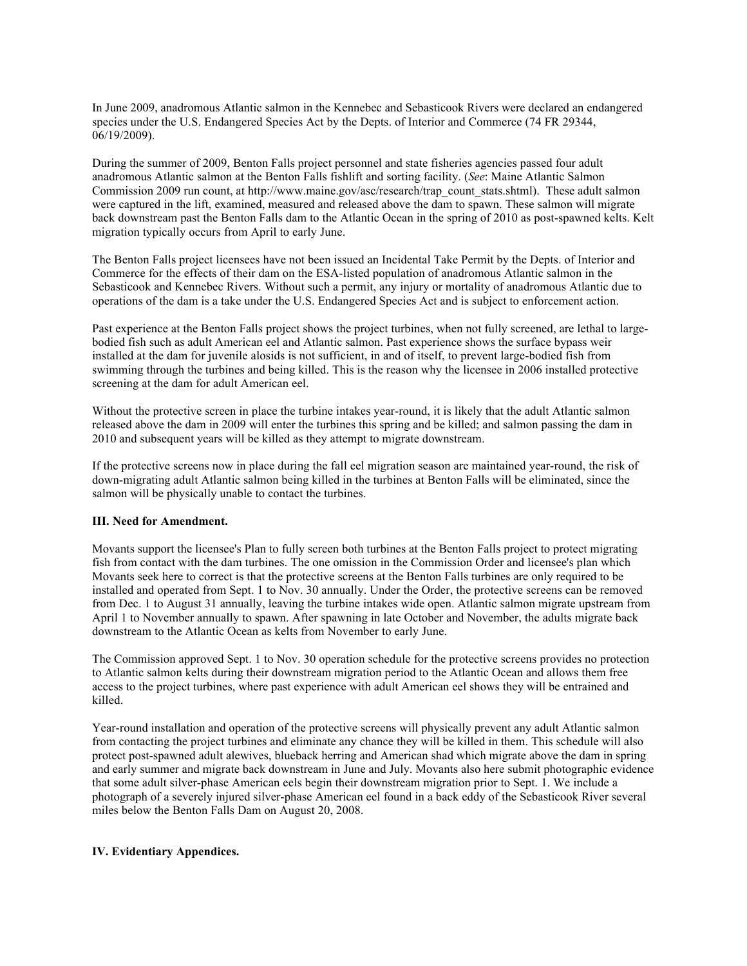In June 2009, anadromous Atlantic salmon in the Kennebec and Sebasticook Rivers were declared an endangered species under the U.S. Endangered Species Act by the Depts. of Interior and Commerce (74 FR 29344, 06/19/2009).

During the summer of 2009, Benton Falls project personnel and state fisheries agencies passed four adult anadromous Atlantic salmon at the Benton Falls fishlift and sorting facility. (*See*: Maine Atlantic Salmon Commission 2009 run count, at http://www.maine.gov/asc/research/trap\_count\_stats.shtml). These adult salmon were captured in the lift, examined, measured and released above the dam to spawn. These salmon will migrate back downstream past the Benton Falls dam to the Atlantic Ocean in the spring of 2010 as post-spawned kelts. Kelt migration typically occurs from April to early June.

The Benton Falls project licensees have not been issued an Incidental Take Permit by the Depts. of Interior and Commerce for the effects of their dam on the ESA-listed population of anadromous Atlantic salmon in the Sebasticook and Kennebec Rivers. Without such a permit, any injury or mortality of anadromous Atlantic due to operations of the dam is a take under the U.S. Endangered Species Act and is subject to enforcement action.

Past experience at the Benton Falls project shows the project turbines, when not fully screened, are lethal to largebodied fish such as adult American eel and Atlantic salmon. Past experience shows the surface bypass weir installed at the dam for juvenile alosids is not sufficient, in and of itself, to prevent large-bodied fish from swimming through the turbines and being killed. This is the reason why the licensee in 2006 installed protective screening at the dam for adult American eel.

Without the protective screen in place the turbine intakes year-round, it is likely that the adult Atlantic salmon released above the dam in 2009 will enter the turbines this spring and be killed; and salmon passing the dam in 2010 and subsequent years will be killed as they attempt to migrate downstream.

If the protective screens now in place during the fall eel migration season are maintained year-round, the risk of down-migrating adult Atlantic salmon being killed in the turbines at Benton Falls will be eliminated, since the salmon will be physically unable to contact the turbines.

# **III. Need for Amendment.**

Movants support the licensee's Plan to fully screen both turbines at the Benton Falls project to protect migrating fish from contact with the dam turbines. The one omission in the Commission Order and licensee's plan which Movants seek here to correct is that the protective screens at the Benton Falls turbines are only required to be installed and operated from Sept. 1 to Nov. 30 annually. Under the Order, the protective screens can be removed from Dec. 1 to August 31 annually, leaving the turbine intakes wide open. Atlantic salmon migrate upstream from April 1 to November annually to spawn. After spawning in late October and November, the adults migrate back downstream to the Atlantic Ocean as kelts from November to early June.

The Commission approved Sept. 1 to Nov. 30 operation schedule for the protective screens provides no protection to Atlantic salmon kelts during their downstream migration period to the Atlantic Ocean and allows them free access to the project turbines, where past experience with adult American eel shows they will be entrained and killed.

Year-round installation and operation of the protective screens will physically prevent any adult Atlantic salmon from contacting the project turbines and eliminate any chance they will be killed in them. This schedule will also protect post-spawned adult alewives, blueback herring and American shad which migrate above the dam in spring and early summer and migrate back downstream in June and July. Movants also here submit photographic evidence that some adult silver-phase American eels begin their downstream migration prior to Sept. 1. We include a photograph of a severely injured silver-phase American eel found in a back eddy of the Sebasticook River several miles below the Benton Falls Dam on August 20, 2008.

# **IV. Evidentiary Appendices.**